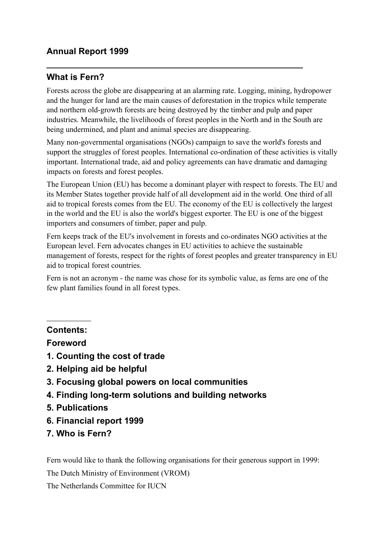# **Annual Report 1999**

# **What is Fern?**

Forests across the globe are disappearing at an alarming rate. Logging, mining, hydropower and the hunger for land are the main causes of deforestation in the tropics while temperate and northern old-growth forests are being destroyed by the timber and pulp and paper industries. Meanwhile, the livelihoods of forest peoples in the North and in the South are being undermined, and plant and animal species are disappearing.

Many non-governmental organisations (NGOs) campaign to save the world's forests and support the struggles of forest peoples. International co-ordination of these activities is vitally important. International trade, aid and policy agreements can have dramatic and damaging impacts on forests and forest peoples.

The European Union (EU) has become a dominant player with respect to forests. The EU and its Member States together provide half of all development aid in the world. One third of all aid to tropical forests comes from the EU. The economy of the EU is collectively the largest in the world and the EU is also the world's biggest exporter. The EU is one of the biggest importers and consumers of timber, paper and pulp.

Fern keeps track of the EU's involvement in forests and co-ordinates NGO activities at the European level. Fern advocates changes in EU activities to achieve the sustainable management of forests, respect for the rights of forest peoples and greater transparency in EU aid to tropical forest countries.

Fern is not an acronym - the name was chose for its symbolic value, as ferns are one of the few plant families found in all forest types.

## **Contents:**

 $\overline{a}$ 

### **Foreword**

- **1. Counting the cost of trade**
- **2. Helping aid be helpful**
- **3. Focusing global powers on local communities**
- **4. Finding long-term solutions and building networks**
- **5. Publications**
- **6. Financial report 1999**
- **7. Who is Fern?**

Fern would like to thank the following organisations for their generous support in 1999:

The Dutch Ministry of Environment (VROM)

The Netherlands Committee for IUCN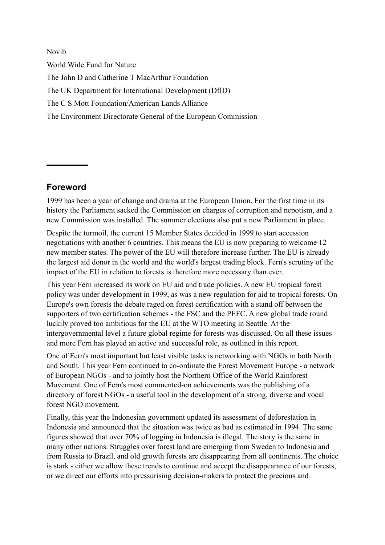Novib World Wide Fund for Nature The John D and Catherine T MacArthur Foundation The UK Department for International Development (DfID) The C S Mott Foundation/American Lands Alliance The Environment Directorate General of the European Commission

# **Foreword**

1999 has been a year of change and drama at the European Union. For the first time in its history the Parliament sacked the Commission on charges of corruption and nepotism, and a new Commission was installed. The summer elections also put a new Parliament in place.

Despite the turmoil, the current 15 Member States decided in 1999 to start accession negotiations with another 6 countries. This means the EU is now preparing to welcome 12 new member states. The power of the EU will therefore increase further. The EU is already the largest aid donor in the world and the world's largest trading block. Fern's scrutiny of the impact of the EU in relation to forests is therefore more necessary than ever.

This year Fern increased its work on EU aid and trade policies. A new EU tropical forest policy was under development in 1999, as was a new regulation for aid to tropical forests. On Europe's own forests the debate raged on forest certification with a stand off between the supporters of two certification schemes - the FSC and the PEFC. A new global trade round luckily proved too ambitious for the EU at the WTO meeting in Seattle. At the intergovernmental level a future global regime for forests was discussed. On all these issues and more Fern has played an active and successful role, as outlined in this report.

One of Fern's most important but least visible tasks is networking with NGOs in both North and South. This year Fern continued to co-ordinate the Forest Movement Europe - a network of European NGOs - and to jointly host the Northern Office of the World Rainforest Movement. One of Fern's most commented-on achievements was the publishing of a directory of forest NGOs - a useful tool in the development of a strong, diverse and vocal forest NGO movement.

Finally, this year the Indonesian government updated its assessment of deforestation in Indonesia and announced that the situation was twice as bad as estimated in 1994. The same figures showed that over 70% of logging in Indonesia is illegal. The story is the same in many other nations. Struggles over forest land are emerging from Sweden to Indonesia and from Russia to Brazil, and old growth forests are disappearing from all continents. The choice is stark - either we allow these trends to continue and accept the disappearance of our forests, or we direct our efforts into pressurising decision-makers to protect the precious and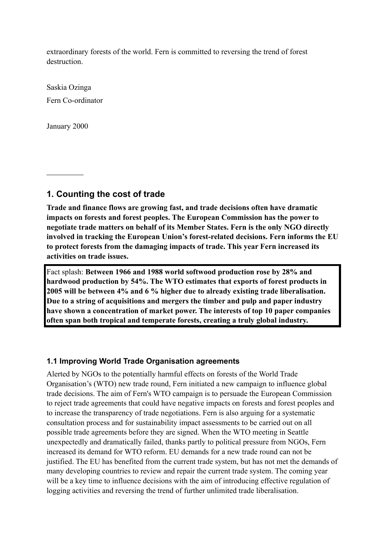extraordinary forests of the world. Fern is committed to reversing the trend of forest destruction.

Saskia Ozinga Fern Co-ordinator

January 2000

 $\overline{a}$ 

**1. Counting the cost of trade**

**Trade and finance flows are growing fast, and trade decisions often have dramatic impacts on forests and forest peoples. The European Commission has the power to negotiate trade matters on behalf of its Member States. Fern is the only NGO directly involved in tracking the European Union's forest-related decisions. Fern informs the EU to protect forests from the damaging impacts of trade. This year Fern increased its activities on trade issues.** 

Fact splash: **Between 1966 and 1988 world softwood production rose by 28% and hardwood production by 54%. The WTO estimates that exports of forest products in 2005 will be between 4% and 6 % higher due to already existing trade liberalisation. Due to a string of acquisitions and mergers the timber and pulp and paper industry have shown a concentration of market power. The interests of top 10 paper companies often span both tropical and temperate forests, creating a truly global industry.**

### **1.1 Improving World Trade Organisation agreements**

Alerted by NGOs to the potentially harmful effects on forests of the World Trade Organisation's (WTO) new trade round, Fern initiated a new campaign to influence global trade decisions. The aim of Fern's WTO campaign is to persuade the European Commission to reject trade agreements that could have negative impacts on forests and forest peoples and to increase the transparency of trade negotiations. Fern is also arguing for a systematic consultation process and for sustainability impact assessments to be carried out on all possible trade agreements before they are signed. When the WTO meeting in Seattle unexpectedly and dramatically failed, thanks partly to political pressure from NGOs, Fern increased its demand for WTO reform. EU demands for a new trade round can not be justified. The EU has benefited from the current trade system, but has not met the demands of many developing countries to review and repair the current trade system. The coming year will be a key time to influence decisions with the aim of introducing effective regulation of logging activities and reversing the trend of further unlimited trade liberalisation.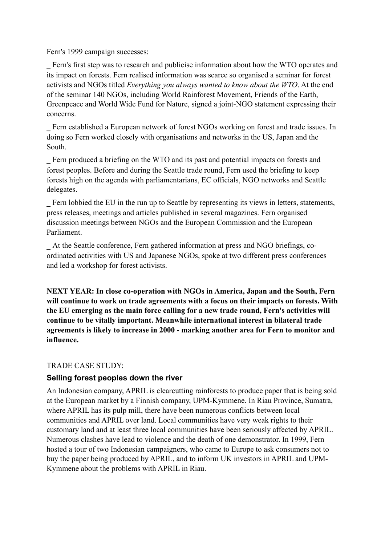Fern's 1999 campaign successes:

\_ Fern's first step was to research and publicise information about how the WTO operates and its impact on forests. Fern realised information was scarce so organised a seminar for forest activists and NGOs titled *Everything you always wanted to know about the WTO*. At the end of the seminar 140 NGOs, including World Rainforest Movement, Friends of the Earth, Greenpeace and World Wide Fund for Nature, signed a joint-NGO statement expressing their concerns.

\_ Fern established a European network of forest NGOs working on forest and trade issues. In doing so Fern worked closely with organisations and networks in the US, Japan and the South.

Fern produced a briefing on the WTO and its past and potential impacts on forests and forest peoples. Before and during the Seattle trade round, Fern used the briefing to keep forests high on the agenda with parliamentarians, EC officials, NGO networks and Seattle delegates.

\_ Fern lobbied the EU in the run up to Seattle by representing its views in letters, statements, press releases, meetings and articles published in several magazines. Fern organised discussion meetings between NGOs and the European Commission and the European Parliament.

\_ At the Seattle conference, Fern gathered information at press and NGO briefings, coordinated activities with US and Japanese NGOs, spoke at two different press conferences and led a workshop for forest activists.

**NEXT YEAR: In close co-operation with NGOs in America, Japan and the South, Fern will continue to work on trade agreements with a focus on their impacts on forests. With the EU emerging as the main force calling for a new trade round, Fern's activities will continue to be vitally important. Meanwhile international interest in bilateral trade agreements is likely to increase in 2000 - marking another area for Fern to monitor and influence.**

### TRADE CASE STUDY:

### **Selling forest peoples down the river**

An Indonesian company, APRIL is clearcutting rainforests to produce paper that is being sold at the European market by a Finnish company, UPM-Kymmene. In Riau Province, Sumatra, where APRIL has its pulp mill, there have been numerous conflicts between local communities and APRIL over land. Local communities have very weak rights to their customary land and at least three local communities have been seriously affected by APRIL. Numerous clashes have lead to violence and the death of one demonstrator. In 1999, Fern hosted a tour of two Indonesian campaigners, who came to Europe to ask consumers not to buy the paper being produced by APRIL, and to inform UK investors in APRIL and UPM-Kymmene about the problems with APRIL in Riau.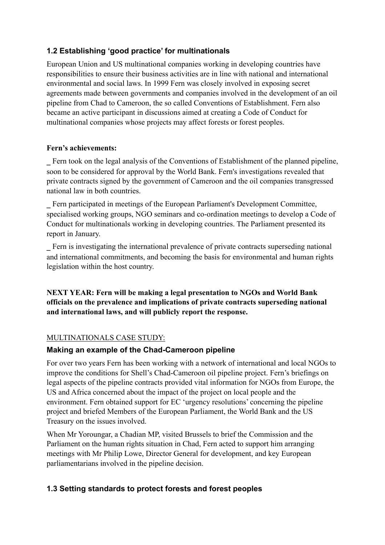# **1.2 Establishing 'good practice' for multinationals**

European Union and US multinational companies working in developing countries have responsibilities to ensure their business activities are in line with national and international environmental and social laws. In 1999 Fern was closely involved in exposing secret agreements made between governments and companies involved in the development of an oil pipeline from Chad to Cameroon, the so called Conventions of Establishment. Fern also became an active participant in discussions aimed at creating a Code of Conduct for multinational companies whose projects may affect forests or forest peoples.

### **Fern's achievements:**

\_ Fern took on the legal analysis of the Conventions of Establishment of the planned pipeline, soon to be considered for approval by the World Bank. Fern's investigations revealed that private contracts signed by the government of Cameroon and the oil companies transgressed national law in both countries.

\_ Fern participated in meetings of the European Parliament's Development Committee, specialised working groups, NGO seminars and co-ordination meetings to develop a Code of Conduct for multinationals working in developing countries. The Parliament presented its report in January.

\_ Fern is investigating the international prevalence of private contracts superseding national and international commitments, and becoming the basis for environmental and human rights legislation within the host country.

## **NEXT YEAR: Fern will be making a legal presentation to NGOs and World Bank officials on the prevalence and implications of private contracts superseding national and international laws, and will publicly report the response.**

## MULTINATIONALS CASE STUDY:

## **Making an example of the Chad-Cameroon pipeline**

For over two years Fern has been working with a network of international and local NGOs to improve the conditions for Shell's Chad-Cameroon oil pipeline project. Fern's briefings on legal aspects of the pipeline contracts provided vital information for NGOs from Europe, the US and Africa concerned about the impact of the project on local people and the environment. Fern obtained support for EC 'urgency resolutions' concerning the pipeline project and briefed Members of the European Parliament, the World Bank and the US Treasury on the issues involved.

When Mr Yoroungar, a Chadian MP, visited Brussels to brief the Commission and the Parliament on the human rights situation in Chad, Fern acted to support him arranging meetings with Mr Philip Lowe, Director General for development, and key European parliamentarians involved in the pipeline decision.

## **1.3 Setting standards to protect forests and forest peoples**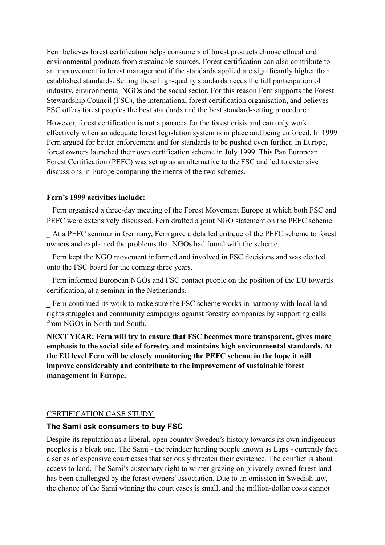Fern believes forest certification helps consumers of forest products choose ethical and environmental products from sustainable sources. Forest certification can also contribute to an improvement in forest management if the standards applied are significantly higher than established standards. Setting these high-quality standards needs the full participation of industry, environmental NGOs and the social sector. For this reason Fern supports the Forest Stewardship Council (FSC), the international forest certification organisation, and believes FSC offers forest peoples the best standards and the best standard-setting procedure.

However, forest certification is not a panacea for the forest crisis and can only work effectively when an adequate forest legislation system is in place and being enforced. In 1999 Fern argued for better enforcement and for standards to be pushed even further. In Europe, forest owners launched their own certification scheme in July 1999. This Pan European Forest Certification (PEFC) was set up as an alternative to the FSC and led to extensive discussions in Europe comparing the merits of the two schemes.

#### **Fern's 1999 activities include:**

\_ Fern organised a three-day meeting of the Forest Movement Europe at which both FSC and PEFC were extensively discussed. Fern drafted a joint NGO statement on the PEFC scheme.

\_ At a PEFC seminar in Germany, Fern gave a detailed critique of the PEFC scheme to forest owners and explained the problems that NGOs had found with the scheme.

\_ Fern kept the NGO movement informed and involved in FSC decisions and was elected onto the FSC board for the coming three years.

Fern informed European NGOs and FSC contact people on the position of the EU towards certification, at a seminar in the Netherlands.

\_ Fern continued its work to make sure the FSC scheme works in harmony with local land rights struggles and community campaigns against forestry companies by supporting calls from NGOs in North and South.

**NEXT YEAR: Fern will try to ensure that FSC becomes more transparent, gives more emphasis to the social side of forestry and maintains high environmental standards. At the EU level Fern will be closely monitoring the PEFC scheme in the hope it will improve considerably and contribute to the improvement of sustainable forest management in Europe.** 

#### CERTIFICATION CASE STUDY:

#### **The Sami ask consumers to buy FSC**

Despite its reputation as a liberal, open country Sweden's history towards its own indigenous peoples is a bleak one. The Sami - the reindeer herding people known as Laps - currently face a series of expensive court cases that seriously threaten their existence. The conflict is about access to land. The Sami's customary right to winter grazing on privately owned forest land has been challenged by the forest owners' association. Due to an omission in Swedish law, the chance of the Sami winning the court cases is small, and the million-dollar costs cannot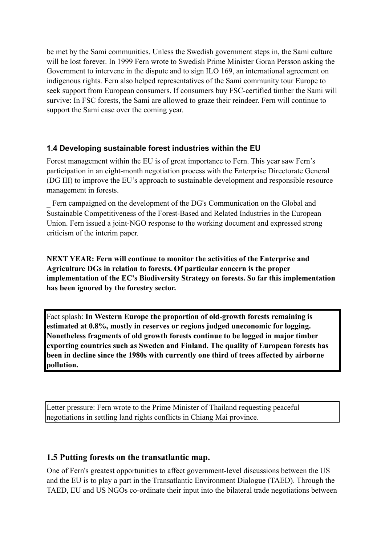be met by the Sami communities. Unless the Swedish government steps in, the Sami culture will be lost forever. In 1999 Fern wrote to Swedish Prime Minister Goran Persson asking the Government to intervene in the dispute and to sign ILO 169, an international agreement on indigenous rights. Fern also helped representatives of the Sami community tour Europe to seek support from European consumers. If consumers buy FSC-certified timber the Sami will survive: In FSC forests, the Sami are allowed to graze their reindeer. Fern will continue to support the Sami case over the coming year.

### **1.4 Developing sustainable forest industries within the EU**

Forest management within the EU is of great importance to Fern. This year saw Fern's participation in an eight-month negotiation process with the Enterprise Directorate General (DG III) to improve the EU's approach to sustainable development and responsible resource management in forests.

\_ Fern campaigned on the development of the DG's Communication on the Global and Sustainable Competitiveness of the Forest-Based and Related Industries in the European Union. Fern issued a joint-NGO response to the working document and expressed strong criticism of the interim paper.

**NEXT YEAR: Fern will continue to monitor the activities of the Enterprise and Agriculture DGs in relation to forests. Of particular concern is the proper implementation of the EC's Biodiversity Strategy on forests. So far this implementation has been ignored by the forestry sector.**

Fact splash: **In Western Europe the proportion of old-growth forests remaining is estimated at 0.8%, mostly in reserves or regions judged uneconomic for logging. Nonetheless fragments of old growth forests continue to be logged in major timber exporting countries such as Sweden and Finland. The quality of European forests has been in decline since the 1980s with currently one third of trees affected by airborne pollution.**

Letter pressure: Fern wrote to the Prime Minister of Thailand requesting peaceful negotiations in settling land rights conflicts in Chiang Mai province.

## **1.5 Putting forests on the transatlantic map.**

One of Fern's greatest opportunities to affect government-level discussions between the US and the EU is to play a part in the Transatlantic Environment Dialogue (TAED). Through the TAED, EU and US NGOs co-ordinate their input into the bilateral trade negotiations between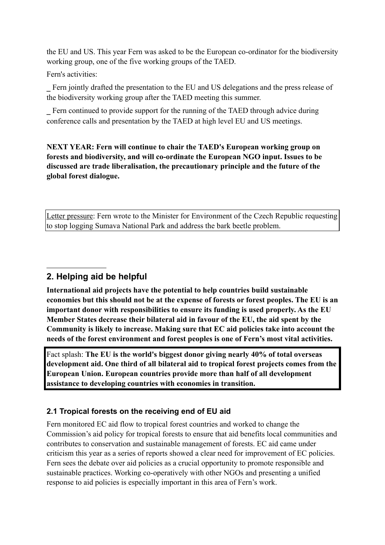the EU and US. This year Fern was asked to be the European co-ordinator for the biodiversity working group, one of the five working groups of the TAED.

Fern's activities:

\_ Fern jointly drafted the presentation to the EU and US delegations and the press release of the biodiversity working group after the TAED meeting this summer.

\_ Fern continued to provide support for the running of the TAED through advice during conference calls and presentation by the TAED at high level EU and US meetings.

**NEXT YEAR: Fern will continue to chair the TAED's European working group on forests and biodiversity, and will co-ordinate the European NGO input. Issues to be discussed are trade liberalisation, the precautionary principle and the future of the global forest dialogue.**

Letter pressure: Fern wrote to the Minister for Environment of the Czech Republic requesting to stop logging Sumava National Park and address the bark beetle problem.

# **2. Helping aid be helpful**

**International aid projects have the potential to help countries build sustainable economies but this should not be at the expense of forests or forest peoples. The EU is an important donor with responsibilities to ensure its funding is used properly. As the EU Member States decrease their bilateral aid in favour of the EU, the aid spent by the Community is likely to increase. Making sure that EC aid policies take into account the needs of the forest environment and forest peoples is one of Fern's most vital activities.**

Fact splash: **The EU is the world's biggest donor giving nearly 40% of total overseas development aid. One third of all bilateral aid to tropical forest projects comes from the European Union. European countries provide more than half of all development assistance to developing countries with economies in transition.**

### **2.1 Tropical forests on the receiving end of EU aid**

Fern monitored EC aid flow to tropical forest countries and worked to change the Commission's aid policy for tropical forests to ensure that aid benefits local communities and contributes to conservation and sustainable management of forests. EC aid came under criticism this year as a series of reports showed a clear need for improvement of EC policies. Fern sees the debate over aid policies as a crucial opportunity to promote responsible and sustainable practices. Working co-operatively with other NGOs and presenting a unified response to aid policies is especially important in this area of Fern's work.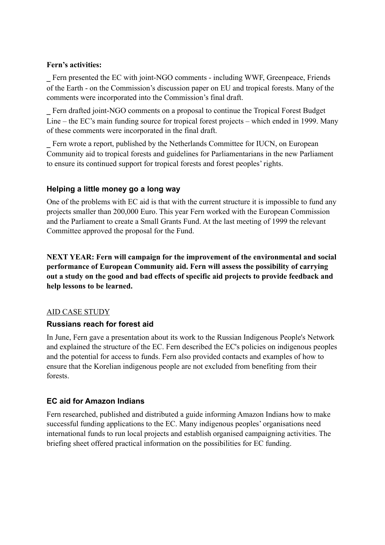### **Fern's activities:**

\_ Fern presented the EC with joint-NGO comments - including WWF, Greenpeace, Friends of the Earth - on the Commission's discussion paper on EU and tropical forests. Many of the comments were incorporated into the Commission's final draft.

\_ Fern drafted joint-NGO comments on a proposal to continue the Tropical Forest Budget Line – the EC's main funding source for tropical forest projects – which ended in 1999. Many of these comments were incorporated in the final draft.

\_ Fern wrote a report, published by the Netherlands Committee for IUCN, on European Community aid to tropical forests and guidelines for Parliamentarians in the new Parliament to ensure its continued support for tropical forests and forest peoples' rights.

## **Helping a little money go a long way**

One of the problems with EC aid is that with the current structure it is impossible to fund any projects smaller than 200,000 Euro. This year Fern worked with the European Commission and the Parliament to create a Small Grants Fund. At the last meeting of 1999 the relevant Committee approved the proposal for the Fund.

**NEXT YEAR: Fern will campaign for the improvement of the environmental and social performance of European Community aid. Fern will assess the possibility of carrying out a study on the good and bad effects of specific aid projects to provide feedback and help lessons to be learned.**

### AID CASE STUDY

### **Russians reach for forest aid**

In June, Fern gave a presentation about its work to the Russian Indigenous People's Network and explained the structure of the EC. Fern described the EC's policies on indigenous peoples and the potential for access to funds. Fern also provided contacts and examples of how to ensure that the Korelian indigenous people are not excluded from benefiting from their forests.

## **EC aid for Amazon Indians**

Fern researched, published and distributed a guide informing Amazon Indians how to make successful funding applications to the EC. Many indigenous peoples' organisations need international funds to run local projects and establish organised campaigning activities. The briefing sheet offered practical information on the possibilities for EC funding.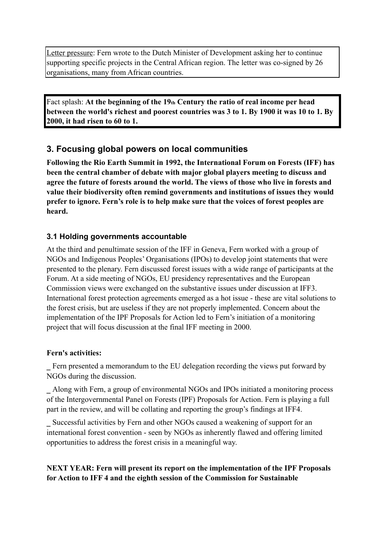Letter pressure: Fern wrote to the Dutch Minister of Development asking her to continue supporting specific projects in the Central African region. The letter was co-signed by 26 organisations, many from African countries.

Fact splash: **At the beginning of the 19th Century the ratio of real income per head between the world's richest and poorest countries was 3 to 1. By 1900 it was 10 to 1. By 2000, it had risen to 60 to 1.** 

# **3. Focusing global powers on local communities**

**Following the Rio Earth Summit in 1992, the International Forum on Forests (IFF) has been the central chamber of debate with major global players meeting to discuss and agree the future of forests around the world. The views of those who live in forests and value their biodiversity often remind governments and institutions of issues they would prefer to ignore. Fern's role is to help make sure that the voices of forest peoples are heard.**

# **3.1 Holding governments accountable**

At the third and penultimate session of the IFF in Geneva, Fern worked with a group of NGOs and Indigenous Peoples' Organisations (IPOs) to develop joint statements that were presented to the plenary. Fern discussed forest issues with a wide range of participants at the Forum. At a side meeting of NGOs, EU presidency representatives and the European Commission views were exchanged on the substantive issues under discussion at IFF3. International forest protection agreements emerged as a hot issue - these are vital solutions to the forest crisis, but are useless if they are not properly implemented. Concern about the implementation of the IPF Proposals for Action led to Fern's initiation of a monitoring project that will focus discussion at the final IFF meeting in 2000.

## **Fern's activities:**

Fern presented a memorandum to the EU delegation recording the views put forward by NGOs during the discussion.

\_ Along with Fern, a group of environmental NGOs and IPOs initiated a monitoring process of the Intergovernmental Panel on Forests (IPF) Proposals for Action. Fern is playing a full part in the review, and will be collating and reporting the group's findings at IFF4.

\_ Successful activities by Fern and other NGOs caused a weakening of support for an international forest convention - seen by NGOs as inherently flawed and offering limited opportunities to address the forest crisis in a meaningful way.

# **NEXT YEAR: Fern will present its report on the implementation of the IPF Proposals for Action to IFF 4 and the eighth session of the Commission for Sustainable**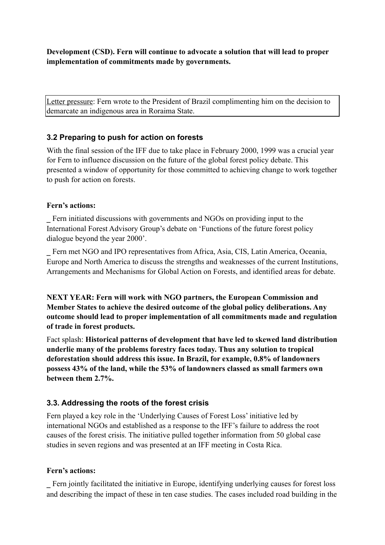**Development (CSD). Fern will continue to advocate a solution that will lead to proper implementation of commitments made by governments.**

Letter pressure: Fern wrote to the President of Brazil complimenting him on the decision to demarcate an indigenous area in Roraima State.

# **3.2 Preparing to push for action on forests**

With the final session of the IFF due to take place in February 2000, 1999 was a crucial year for Fern to influence discussion on the future of the global forest policy debate. This presented a window of opportunity for those committed to achieving change to work together to push for action on forests.

### **Fern's actions:**

\_ Fern initiated discussions with governments and NGOs on providing input to the International Forest Advisory Group's debate on 'Functions of the future forest policy dialogue beyond the year 2000'.

\_ Fern met NGO and IPO representatives from Africa, Asia, CIS, Latin America, Oceania, Europe and North America to discuss the strengths and weaknesses of the current Institutions, Arrangements and Mechanisms for Global Action on Forests, and identified areas for debate.

**NEXT YEAR: Fern will work with NGO partners, the European Commission and Member States to achieve the desired outcome of the global policy deliberations. Any outcome should lead to proper implementation of all commitments made and regulation of trade in forest products.**

Fact splash: **Historical patterns of development that have led to skewed land distribution underlie many of the problems forestry faces today. Thus any solution to tropical deforestation should address this issue. In Brazil, for example, 0.8% of landowners possess 43% of the land, while the 53% of landowners classed as small farmers own between them 2.7%.** 

# **3.3. Addressing the roots of the forest crisis**

Fern played a key role in the 'Underlying Causes of Forest Loss' initiative led by international NGOs and established as a response to the IFF's failure to address the root causes of the forest crisis. The initiative pulled together information from 50 global case studies in seven regions and was presented at an IFF meeting in Costa Rica.

## **Fern's actions:**

\_ Fern jointly facilitated the initiative in Europe, identifying underlying causes for forest loss and describing the impact of these in ten case studies. The cases included road building in the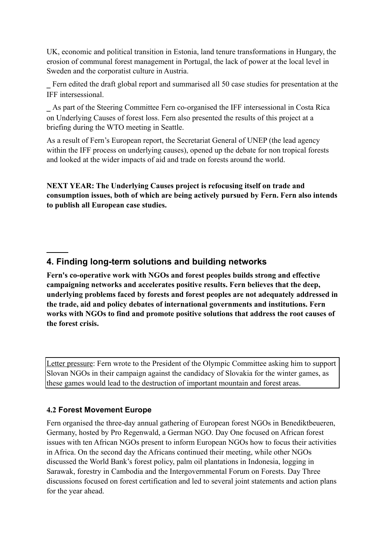UK, economic and political transition in Estonia, land tenure transformations in Hungary, the erosion of communal forest management in Portugal, the lack of power at the local level in Sweden and the corporatist culture in Austria.

\_ Fern edited the draft global report and summarised all 50 case studies for presentation at the IFF intersessional.

\_ As part of the Steering Committee Fern co-organised the IFF intersessional in Costa Rica on Underlying Causes of forest loss. Fern also presented the results of this project at a briefing during the WTO meeting in Seattle.

As a result of Fern's European report, the Secretariat General of UNEP (the lead agency within the IFF process on underlying causes), opened up the debate for non tropical forests and looked at the wider impacts of aid and trade on forests around the world.

**NEXT YEAR: The Underlying Causes project is refocusing itself on trade and consumption issues, both of which are being actively pursued by Fern. Fern also intends to publish all European case studies.** 

# **4. Finding long-term solutions and building networks**

**Fern's co-operative work with NGOs and forest peoples builds strong and effective campaigning networks and accelerates positive results. Fern believes that the deep, underlying problems faced by forests and forest peoples are not adequately addressed in the trade, aid and policy debates of international governments and institutions. Fern works with NGOs to find and promote positive solutions that address the root causes of the forest crisis.** 

Letter pressure: Fern wrote to the President of the Olympic Committee asking him to support Slovan NGOs in their campaign against the candidacy of Slovakia for the winter games, as these games would lead to the destruction of important mountain and forest areas.

### **4.2 Forest Movement Europe**

Fern organised the three-day annual gathering of European forest NGOs in Benediktbeueren, Germany, hosted by Pro Regenwald, a German NGO. Day One focused on African forest issues with ten African NGOs present to inform European NGOs how to focus their activities in Africa. On the second day the Africans continued their meeting, while other NGOs discussed the World Bank's forest policy, palm oil plantations in Indonesia, logging in Sarawak, forestry in Cambodia and the Intergovernmental Forum on Forests. Day Three discussions focused on forest certification and led to several joint statements and action plans for the year ahead.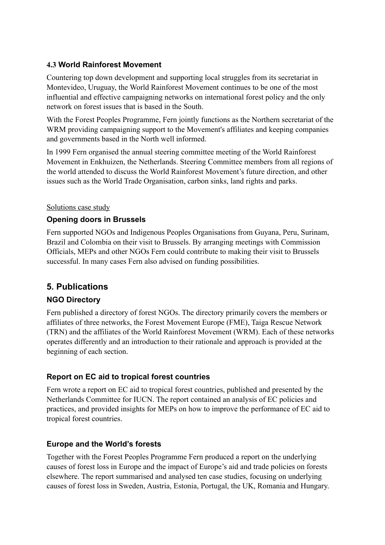# **4.3 World Rainforest Movement**

Countering top down development and supporting local struggles from its secretariat in Montevideo, Uruguay, the World Rainforest Movement continues to be one of the most influential and effective campaigning networks on international forest policy and the only network on forest issues that is based in the South.

With the Forest Peoples Programme, Fern jointly functions as the Northern secretariat of the WRM providing campaigning support to the Movement's affiliates and keeping companies and governments based in the North well informed.

In 1999 Fern organised the annual steering committee meeting of the World Rainforest Movement in Enkhuizen, the Netherlands. Steering Committee members from all regions of the world attended to discuss the World Rainforest Movement's future direction, and other issues such as the World Trade Organisation, carbon sinks, land rights and parks.

### Solutions case study

# **Opening doors in Brussels**

Fern supported NGOs and Indigenous Peoples Organisations from Guyana, Peru, Surinam, Brazil and Colombia on their visit to Brussels. By arranging meetings with Commission Officials, MEPs and other NGOs Fern could contribute to making their visit to Brussels successful. In many cases Fern also advised on funding possibilities.

# **5. Publications**

# **NGO Directory**

Fern published a directory of forest NGOs. The directory primarily covers the members or affiliates of three networks, the Forest Movement Europe (FME), Taiga Rescue Network (TRN) and the affiliates of the World Rainforest Movement (WRM). Each of these networks operates differently and an introduction to their rationale and approach is provided at the beginning of each section.

# **Report on EC aid to tropical forest countries**

Fern wrote a report on EC aid to tropical forest countries, published and presented by the Netherlands Committee for IUCN. The report contained an analysis of EC policies and practices, and provided insights for MEPs on how to improve the performance of EC aid to tropical forest countries.

## **Europe and the World's forests**

Together with the Forest Peoples Programme Fern produced a report on the underlying causes of forest loss in Europe and the impact of Europe's aid and trade policies on forests elsewhere. The report summarised and analysed ten case studies, focusing on underlying causes of forest loss in Sweden, Austria, Estonia, Portugal, the UK, Romania and Hungary.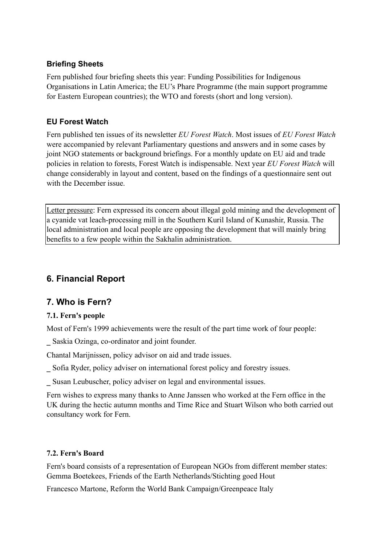# **Briefing Sheets**

Fern published four briefing sheets this year: Funding Possibilities for Indigenous Organisations in Latin America; the EU's Phare Programme (the main support programme for Eastern European countries); the WTO and forests (short and long version).

# **EU Forest Watch**

Fern published ten issues of its newsletter *EU Forest Watch*. Most issues of *EU Forest Watch* were accompanied by relevant Parliamentary questions and answers and in some cases by joint NGO statements or background briefings. For a monthly update on EU aid and trade policies in relation to forests, Forest Watch is indispensable. Next year *EU Forest Watch* will change considerably in layout and content, based on the findings of a questionnaire sent out with the December issue.

Letter pressure: Fern expressed its concern about illegal gold mining and the development of a cyanide vat leach-processing mill in the Southern Kuril Island of Kunashir, Russia. The local administration and local people are opposing the development that will mainly bring benefits to a few people within the Sakhalin administration.

# **6. Financial Report**

# **7. Who is Fern?**

# **7.1. Fern's people**

Most of Fern's 1999 achievements were the result of the part time work of four people:

\_ Saskia Ozinga, co-ordinator and joint founder.

Chantal Marijnissen, policy advisor on aid and trade issues.

\_ Sofia Ryder, policy adviser on international forest policy and forestry issues.

\_ Susan Leubuscher, policy adviser on legal and environmental issues.

Fern wishes to express many thanks to Anne Janssen who worked at the Fern office in the UK during the hectic autumn months and Time Rice and Stuart Wilson who both carried out consultancy work for Fern.

## **7.2. Fern's Board**

Fern's board consists of a representation of European NGOs from different member states: Gemma Boetekees, Friends of the Earth Netherlands/Stichting goed Hout

Francesco Martone, Reform the World Bank Campaign/Greenpeace Italy